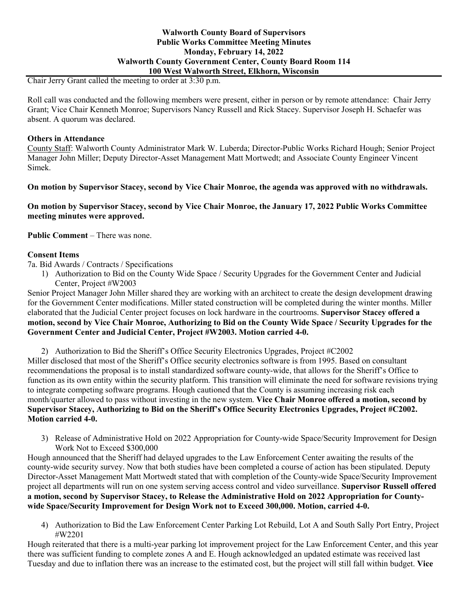### **Walworth County Board of Supervisors Public Works Committee Meeting Minutes Monday, February 14, 2022 Walworth County Government Center, County Board Room 114 100 West Walworth Street, Elkhorn, Wisconsin**

Chair Jerry Grant called the meeting to order at 3:30 p.m.

Roll call was conducted and the following members were present, either in person or by remote attendance: Chair Jerry Grant; Vice Chair Kenneth Monroe; Supervisors Nancy Russell and Rick Stacey. Supervisor Joseph H. Schaefer was absent. A quorum was declared.

## **Others in Attendance**

County Staff: Walworth County Administrator Mark W. Luberda; Director-Public Works Richard Hough; Senior Project Manager John Miller; Deputy Director-Asset Management Matt Mortwedt; and Associate County Engineer Vincent Simek.

**On motion by Supervisor Stacey, second by Vice Chair Monroe, the agenda was approved with no withdrawals.**

**On motion by Supervisor Stacey, second by Vice Chair Monroe, the January 17, 2022 Public Works Committee meeting minutes were approved.**

**Public Comment** – There was none.

## **Consent Items**

7a. Bid Awards / Contracts / Specifications

1) Authorization to Bid on the County Wide Space / Security Upgrades for the Government Center and Judicial Center, Project #W2003

Senior Project Manager John Miller shared they are working with an architect to create the design development drawing for the Government Center modifications. Miller stated construction will be completed during the winter months. Miller elaborated that the Judicial Center project focuses on lock hardware in the courtrooms. **Supervisor Stacey offered a motion, second by Vice Chair Monroe, Authorizing to Bid on the County Wide Space / Security Upgrades for the Government Center and Judicial Center, Project #W2003. Motion carried 4-0.** 

2) Authorization to Bid the Sheriff's Office Security Electronics Upgrades, Project #C2002

Miller disclosed that most of the Sheriff's Office security electronics software is from 1995. Based on consultant recommendations the proposal is to install standardized software county-wide, that allows for the Sheriff's Office to function as its own entity within the security platform. This transition will eliminate the need for software revisions trying to integrate competing software programs. Hough cautioned that the County is assuming increasing risk each month/quarter allowed to pass without investing in the new system. **Vice Chair Monroe offered a motion, second by Supervisor Stacey, Authorizing to Bid on the Sheriff's Office Security Electronics Upgrades, Project #C2002. Motion carried 4-0.**

3) Release of Administrative Hold on 2022 Appropriation for County-wide Space/Security Improvement for Design Work Not to Exceed \$300,000

Hough announced that the Sheriff had delayed upgrades to the Law Enforcement Center awaiting the results of the county-wide security survey. Now that both studies have been completed a course of action has been stipulated. Deputy Director-Asset Management Matt Mortwedt stated that with completion of the County-wide Space/Security Improvement project all departments will run on one system serving access control and video surveillance. **Supervisor Russell offered a motion, second by Supervisor Stacey, to Release the Administrative Hold on 2022 Appropriation for Countywide Space/Security Improvement for Design Work not to Exceed 300,000. Motion, carried 4-0.**

4) Authorization to Bid the Law Enforcement Center Parking Lot Rebuild, Lot A and South Sally Port Entry, Project #W2201

Hough reiterated that there is a multi-year parking lot improvement project for the Law Enforcement Center, and this year there was sufficient funding to complete zones A and E. Hough acknowledged an updated estimate was received last Tuesday and due to inflation there was an increase to the estimated cost, but the project will still fall within budget. **Vice**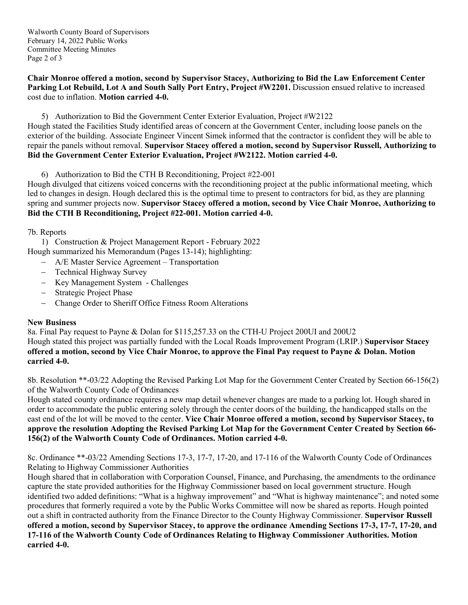Walworth County Board of Supervisors February 14, 2022 Public Works Committee Meeting Minutes Page 2 of 3

**Chair Monroe offered a motion, second by Supervisor Stacey, Authorizing to Bid the Law Enforcement Center Parking Lot Rebuild, Lot A and South Sally Port Entry, Project #W2201.** Discussion ensued relative to increased cost due to inflation. **Motion carried 4-0.**

5) Authorization to Bid the Government Center Exterior Evaluation, Project #W2122 Hough stated the Facilities Study identified areas of concern at the Government Center, including loose panels on the exterior of the building. Associate Engineer Vincent Simek informed that the contractor is confident they will be able to repair the panels without removal. **Supervisor Stacey offered a motion, second by Supervisor Russell, Authorizing to Bid the Government Center Exterior Evaluation, Project #W2122. Motion carried 4-0.**

6) Authorization to Bid the CTH B Reconditioning, Project #22-001

Hough divulged that citizens voiced concerns with the reconditioning project at the public informational meeting, which led to changes in design. Hough declared this is the optimal time to present to contractors for bid, as they are planning spring and summer projects now. **Supervisor Stacey offered a motion, second by Vice Chair Monroe, Authorizing to Bid the CTH B Reconditioning, Project #22-001. Motion carried 4-0.**

7b. Reports

1) Construction & Project Management Report - February 2022 Hough summarized his Memorandum (Pages 13-14); highlighting:

- − A/E Master Service Agreement Transportation
- − Technical Highway Survey
- − Key Management System Challenges
- − Strategic Project Phase
- − Change Order to Sheriff Office Fitness Room Alterations

# **New Business**

8a. Final Pay request to Payne & Dolan for \$115,257.33 on the CTH-U Project 200UI and 200U2 Hough stated this project was partially funded with the Local Roads Improvement Program (LRIP.) **Supervisor Stacey offered a motion, second by Vice Chair Monroe, to approve the Final Pay request to Payne & Dolan. Motion carried 4-0.**

8b. Resolution \*\*-03/22 Adopting the Revised Parking Lot Map for the Government Center Created by Section 66-156(2) of the Walworth County Code of Ordinances

Hough stated county ordinance requires a new map detail whenever changes are made to a parking lot. Hough shared in order to accommodate the public entering solely through the center doors of the building, the handicapped stalls on the east end of the lot will be moved to the center. **Vice Chair Monroe offered a motion, second by Supervisor Stacey, to approve the resolution Adopting the Revised Parking Lot Map for the Government Center Created by Section 66- 156(2) of the Walworth County Code of Ordinances. Motion carried 4-0.**

8c. Ordinance \*\*-03/22 Amending Sections 17-3, 17-7, 17-20, and 17-116 of the Walworth County Code of Ordinances Relating to Highway Commissioner Authorities

Hough shared that in collaboration with Corporation Counsel, Finance, and Purchasing, the amendments to the ordinance capture the state provided authorities for the Highway Commissioner based on local government structure. Hough identified two added definitions: "What is a highway improvement" and "What is highway maintenance"; and noted some procedures that formerly required a vote by the Public Works Committee will now be shared as reports. Hough pointed out a shift in contracted authority from the Finance Director to the County Highway Commissioner. **Supervisor Russell offered a motion, second by Supervisor Stacey, to approve the ordinance Amending Sections 17-3, 17-7, 17-20, and 17-116 of the Walworth County Code of Ordinances Relating to Highway Commissioner Authorities. Motion carried 4-0.**